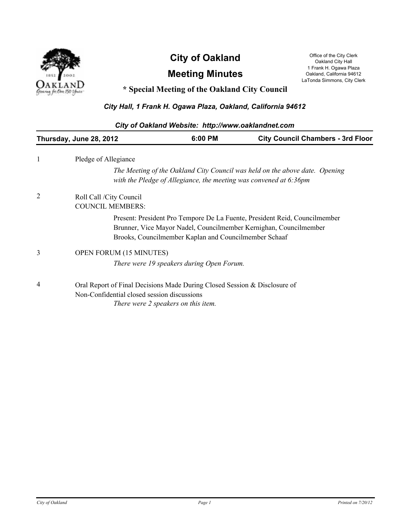

# **City of Oakland** Office of the City Clerk Oakland City Lerk

## **Meeting Minutes**

Oakland City Hall 1 Frank H. Ogawa Plaza Oakland, California 94612 LaTonda Simmons, City Clerk

### **\* Special Meeting of the Oakland City Council**

#### *City Hall, 1 Frank H. Ogawa Plaza, Oakland, California 94612*

| City of Oakland Website: http://www.oaklandnet.com                             |  |                                                                                                                                                                                                                                                                                                                                                                                                                                                                                                                                                                                                                |  |  |
|--------------------------------------------------------------------------------|--|----------------------------------------------------------------------------------------------------------------------------------------------------------------------------------------------------------------------------------------------------------------------------------------------------------------------------------------------------------------------------------------------------------------------------------------------------------------------------------------------------------------------------------------------------------------------------------------------------------------|--|--|
| 6:00 PM<br><b>City Council Chambers - 3rd Floor</b><br>Thursday, June 28, 2012 |  |                                                                                                                                                                                                                                                                                                                                                                                                                                                                                                                                                                                                                |  |  |
| Pledge of Allegiance                                                           |  |                                                                                                                                                                                                                                                                                                                                                                                                                                                                                                                                                                                                                |  |  |
|                                                                                |  |                                                                                                                                                                                                                                                                                                                                                                                                                                                                                                                                                                                                                |  |  |
| Roll Call /City Council<br><b>COUNCIL MEMBERS:</b>                             |  |                                                                                                                                                                                                                                                                                                                                                                                                                                                                                                                                                                                                                |  |  |
|                                                                                |  |                                                                                                                                                                                                                                                                                                                                                                                                                                                                                                                                                                                                                |  |  |
|                                                                                |  |                                                                                                                                                                                                                                                                                                                                                                                                                                                                                                                                                                                                                |  |  |
|                                                                                |  |                                                                                                                                                                                                                                                                                                                                                                                                                                                                                                                                                                                                                |  |  |
|                                                                                |  | The Meeting of the Oakland City Council was held on the above date. Opening<br>with the Pledge of Allegiance, the meeting was convened at 6:36pm<br>Present: President Pro Tempore De La Fuente, President Reid, Councilmember<br>Brunner, Vice Mayor Nadel, Councilmember Kernighan, Councilmember<br>Brooks, Councilmember Kaplan and Councilmember Schaaf<br><b>OPEN FORUM (15 MINUTES)</b><br>There were 19 speakers during Open Forum.<br>Oral Report of Final Decisions Made During Closed Session & Disclosure of<br>Non-Confidential closed session discussions<br>There were 2 speakers on this item. |  |  |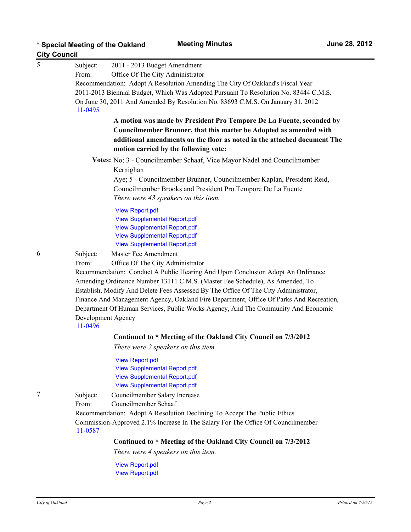| <b>City Council</b> |                                                                                   |                                                                                         |  |  |
|---------------------|-----------------------------------------------------------------------------------|-----------------------------------------------------------------------------------------|--|--|
| 5                   | Subject:                                                                          | 2011 - 2013 Budget Amendment                                                            |  |  |
|                     | From:                                                                             | Office Of The City Administrator                                                        |  |  |
|                     |                                                                                   | Recommendation: Adopt A Resolution Amending The City Of Oakland's Fiscal Year           |  |  |
|                     |                                                                                   | 2011-2013 Biennial Budget, Which Was Adopted Pursuant To Resolution No. 83444 C.M.S.    |  |  |
|                     | 11-0495                                                                           | On June 30, 2011 And Amended By Resolution No. 83693 C.M.S. On January 31, 2012         |  |  |
|                     |                                                                                   | A motion was made by President Pro Tempore De La Fuente, seconded by                    |  |  |
|                     |                                                                                   | Councilmember Brunner, that this matter be Adopted as amended with                      |  |  |
|                     |                                                                                   | additional amendments on the floor as noted in the attached document The                |  |  |
|                     |                                                                                   | motion carried by the following vote:                                                   |  |  |
|                     |                                                                                   | Votes: No; 3 - Councilmember Schaaf, Vice Mayor Nadel and Councilmember                 |  |  |
|                     |                                                                                   | Kernighan                                                                               |  |  |
|                     |                                                                                   | Aye; 5 - Councilmember Brunner, Councilmember Kaplan, President Reid,                   |  |  |
|                     |                                                                                   | Councilmember Brooks and President Pro Tempore De La Fuente                             |  |  |
|                     |                                                                                   | There were 43 speakers on this item.                                                    |  |  |
|                     |                                                                                   | <b>View Report.pdf</b>                                                                  |  |  |
|                     |                                                                                   | <b>View Supplemental Report.pdf</b>                                                     |  |  |
|                     |                                                                                   | <b>View Supplemental Report.pdf</b>                                                     |  |  |
|                     |                                                                                   | <b>View Supplemental Report.pdf</b>                                                     |  |  |
|                     |                                                                                   | <b>View Supplemental Report.pdf</b>                                                     |  |  |
| 6                   | Subject:                                                                          | Master Fee Amendment                                                                    |  |  |
|                     | From:                                                                             | Office Of The City Administrator                                                        |  |  |
|                     |                                                                                   | Recommendation: Conduct A Public Hearing And Upon Conclusion Adopt An Ordinance         |  |  |
|                     |                                                                                   | Amending Ordinance Number 13111 C.M.S. (Master Fee Schedule), As Amended, To            |  |  |
|                     |                                                                                   | Establish, Modify And Delete Fees Assessed By The Office Of The City Administrator,     |  |  |
|                     |                                                                                   | Finance And Management Agency, Oakland Fire Department, Office Of Parks And Recreation, |  |  |
|                     | Department Of Human Services, Public Works Agency, And The Community And Economic |                                                                                         |  |  |
|                     | 11-0496                                                                           | Development Agency                                                                      |  |  |
|                     |                                                                                   | Continued to * Meeting of the Oakland City Council on 7/3/2012                          |  |  |
|                     |                                                                                   | There were 2 speakers on this item.                                                     |  |  |
|                     |                                                                                   | <b>View Report.pdf</b>                                                                  |  |  |
|                     |                                                                                   | <b>View Supplemental Report.pdf</b>                                                     |  |  |
|                     |                                                                                   | <b>View Supplemental Report.pdf</b>                                                     |  |  |
|                     |                                                                                   | <b>View Supplemental Report.pdf</b>                                                     |  |  |
| 7                   | Subject:                                                                          | Councilmember Salary Increase                                                           |  |  |
|                     | From:                                                                             | Councilmember Schaaf                                                                    |  |  |
|                     |                                                                                   | Recommendation: Adopt A Resolution Declining To Accept The Public Ethics                |  |  |
|                     | 11-0587                                                                           | Commission-Approved 2.1% Increase In The Salary For The Office Of Councilmember         |  |  |
|                     |                                                                                   | Continued to * Meeting of the Oakland City Council on 7/3/2012                          |  |  |
|                     |                                                                                   | There were 4 speakers on this item.                                                     |  |  |
|                     |                                                                                   | View Report ndf                                                                         |  |  |

<mark>≀eport</mark>.pd [View Report.pdf](http://oakland.legistar.com/gateway.aspx?M%3dF&ID53d29977.pdf)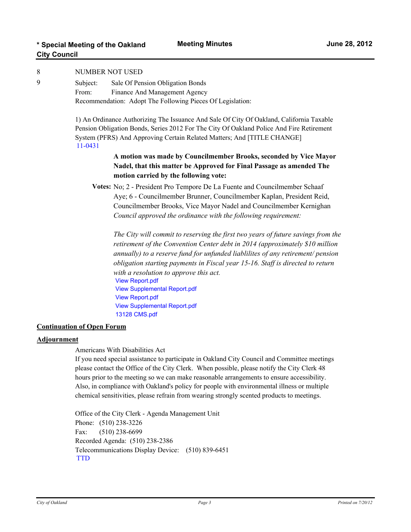| <b>Meeting Minutes</b> | June 28, 2012 |
|------------------------|---------------|
|                        |               |

| 8                                                                                                    | NUMBER NOT USED                                                                          |                                                                                          |  |  |
|------------------------------------------------------------------------------------------------------|------------------------------------------------------------------------------------------|------------------------------------------------------------------------------------------|--|--|
| 9                                                                                                    | Subject:                                                                                 | Sale Of Pension Obligation Bonds                                                         |  |  |
|                                                                                                      | From:                                                                                    | Finance And Management Agency                                                            |  |  |
|                                                                                                      |                                                                                          | Recommendation: Adopt The Following Pieces Of Legislation:                               |  |  |
|                                                                                                      |                                                                                          | 1) An Ordinance Authorizing The Issuance And Sale Of City Of Oakland, California Taxable |  |  |
|                                                                                                      | Pension Obligation Bonds, Series 2012 For The City Of Oakland Police And Fire Retirement |                                                                                          |  |  |
|                                                                                                      | 11-0431                                                                                  | System (PFRS) And Approving Certain Related Matters; And [TITLE CHANGE]                  |  |  |
|                                                                                                      |                                                                                          | A motion was made by Councilmember Brooks, seconded by Vice Mayor                        |  |  |
|                                                                                                      |                                                                                          | Nadel, that this matter be Approved for Final Passage as amended The                     |  |  |
|                                                                                                      |                                                                                          | motion carried by the following vote:                                                    |  |  |
|                                                                                                      |                                                                                          | Votes: No; 2 - President Pro Tempore De La Fuente and Councilmember Schaaf               |  |  |
|                                                                                                      |                                                                                          | Aye; 6 - Councilmember Brunner, Councilmember Kaplan, President Reid,                    |  |  |
|                                                                                                      |                                                                                          | Councilmember Brooks, Vice Mayor Nadel and Councilmember Kernighan                       |  |  |
|                                                                                                      |                                                                                          | Council approved the ordinance with the following requirement:                           |  |  |
|                                                                                                      |                                                                                          | The City will commit to reserving the first two years of future savings from the         |  |  |
|                                                                                                      |                                                                                          | retirement of the Convention Center debt in 2014 (approximately \$10 million             |  |  |
|                                                                                                      |                                                                                          | annually) to a reserve fund for unfunded liablilites of any retirement/ pension          |  |  |
|                                                                                                      |                                                                                          | obligation starting payments in Fiscal year 15-16. Staff is directed to return           |  |  |
|                                                                                                      |                                                                                          | with a resolution to approve this act.<br><b>View Report.pdf</b>                         |  |  |
|                                                                                                      |                                                                                          | <b>View Supplemental Report.pdf</b>                                                      |  |  |
|                                                                                                      |                                                                                          | <b>View Report.pdf</b>                                                                   |  |  |
|                                                                                                      |                                                                                          | <b>View Supplemental Report.pdf</b>                                                      |  |  |
|                                                                                                      |                                                                                          | 13128 CMS.pdf                                                                            |  |  |
|                                                                                                      | <b>Continuation of Open Forum</b>                                                        |                                                                                          |  |  |
| $\blacktriangle$ and $\blacktriangle$ and $\blacktriangle$ and $\blacktriangle$ and $\blacktriangle$ |                                                                                          |                                                                                          |  |  |

#### **Adjournment**

Americans With Disabilities Act

If you need special assistance to participate in Oakland City Council and Committee meetings please contact the Office of the City Clerk. When possible, please notify the City Clerk 48 hours prior to the meeting so we can make reasonable arrangements to ensure accessibility. Also, in compliance with Oakland's policy for people with environmental illness or multiple chemical sensitivities, please refrain from wearing strongly scented products to meetings.

Office of the City Clerk - Agenda Management Unit Phone: (510) 238-3226 Fax: (510) 238-6699 Recorded Agenda: (510) 238-2386 Telecommunications Display Device: (510) 839-6451 **[TTD](http://oakland.legistar.com/gateway.aspx/matter.aspx?key=6787)**